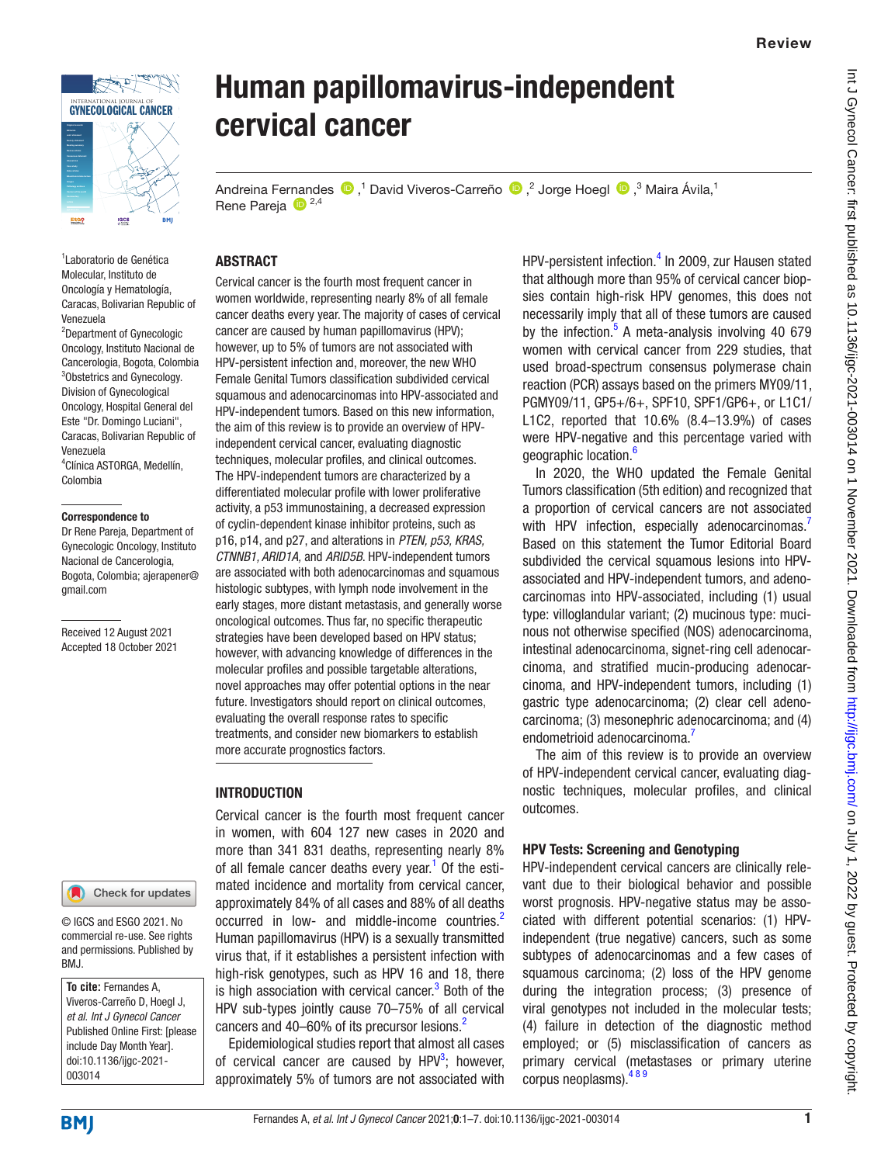

<u>Kapitan (</u> INTERNATIONAL JOURNAL OF GYNECOLOGICAL CANCER

1 Laboratorio de Genética Molecular, Instituto de Oncología y Hematología, Caracas, Bolivarian Republic of Venezuela

2 Department of Gynecologic Oncology, Instituto Nacional de Cancerologia, Bogota, Colombia 3 Obstetrics and Gynecology. Division of Gynecological Oncology, Hospital General del Este "Dr. Domingo Luciani", Caracas, Bolivarian Republic of Venezuela 4 Clínica ASTORGA, Medellín, Colombia

#### Correspondence to

Dr Rene Pareja, Department of Gynecologic Oncology, Instituto Nacional de Cancerologia, Bogota, Colombia; ajerapener@ gmail.com

Received 12 August 2021 Accepted 18 October 2021

#### Check for updates

© IGCS and ESGO 2021. No commercial re-use. See rights and permissions. Published by BMJ.

**To cite:** Fernandes A, Viveros-Carreño D, Hoegl J, *et al*. *Int J Gynecol Cancer* Published Online First: [please include Day Month Year]. doi:10.1136/ijgc-2021- 003014

# Human papillomavirus-independent cervical cancer

Andreina Fernandes  $\bigcirc$ ,<sup>1</sup> David Viveros-Carreño  $\bigcirc$ ,<sup>2</sup> Jorge Hoegl  $\bigcirc$ ,<sup>3</sup> Maira Ávila,<sup>1</sup> Rene Pareja <sup>(D)</sup> 2,4

#### **ARSTRACT**

Cervical cancer is the fourth most frequent cancer in women worldwide, representing nearly 8% of all female cancer deaths every year. The majority of cases of cervical cancer are caused by human papillomavirus (HPV); however, up to 5% of tumors are not associated with HPV-persistent infection and, moreover, the new WHO Female Genital Tumors classification subdivided cervical squamous and adenocarcinomas into HPV-associated and HPV-independent tumors. Based on this new information, the aim of this review is to provide an overview of HPVindependent cervical cancer, evaluating diagnostic techniques, molecular profiles, and clinical outcomes. The HPV-independent tumors are characterized by a differentiated molecular profile with lower proliferative activity, a p53 immunostaining, a decreased expression of cyclin-dependent kinase inhibitor proteins, such as p16, p14, and p27, and alterations in *PTEN, p53, KRAS, CTNNB1, ARID1A,* and *ARID5B*. HPV-independent tumors are associated with both adenocarcinomas and squamous histologic subtypes, with lymph node involvement in the early stages, more distant metastasis, and generally worse oncological outcomes. Thus far, no specific therapeutic strategies have been developed based on HPV status; however, with advancing knowledge of differences in the molecular profiles and possible targetable alterations, novel approaches may offer potential options in the near future. Investigators should report on clinical outcomes, evaluating the overall response rates to specific treatments, and consider new biomarkers to establish more accurate prognostics factors.

#### **INTRODUCTION**

Cervical cancer is the fourth most frequent cancer in women, with 604 127 new cases in 2020 and more than 341 831 deaths, representing nearly 8% of all female cancer deaths every year.<sup>[1](#page-5-0)</sup> Of the estimated incidence and mortality from cervical cancer, approximately 84% of all cases and 88% of all deaths occurred in low- and middle-income countries.<sup>[2](#page-5-1)</sup> Human papillomavirus (HPV) is a sexually transmitted virus that, if it establishes a persistent infection with high-risk genotypes, such as HPV 16 and 18, there is high association with cervical cancer.<sup>[3](#page-5-2)</sup> Both of the HPV sub-types jointly cause 70–75% of all cervical cancers and 40–60% of its precursor lesions.<sup>2</sup>

Epidemiological studies report that almost all cases of cervical cancer are caused by  $HPV^3$  $HPV^3$ ; however, approximately 5% of tumors are not associated with

HPV-persistent infection.<sup>[4](#page-5-3)</sup> In 2009, zur Hausen stated that although more than 95% of cervical cancer biopsies contain high-risk HPV genomes, this does not necessarily imply that all of these tumors are caused by the infection.<sup>[5](#page-5-4)</sup> A meta-analysis involving 40 679 women with cervical cancer from 229 studies, that used broad-spectrum consensus polymerase chain reaction (PCR) assays based on the primers MY09/11, PGMY09/11, GP5+/6+, SPF10, SPF1/GP6+, or L1C1/ L1C2, reported that 10.6% (8.4–13.9%) of cases were HPV-negative and this percentage varied with geographic location.<sup>6</sup>

In 2020, the WHO updated the Female Genital Tumors classification (5th edition) and recognized that a proportion of cervical cancers are not associated with HPV infection, especially adenocarcinomas. Based on this statement the Tumor Editorial Board subdivided the cervical squamous lesions into HPVassociated and HPV-independent tumors, and adenocarcinomas into HPV-associated, including (1) usual type: villoglandular variant; (2) mucinous type: mucinous not otherwise specified (NOS) adenocarcinoma, intestinal adenocarcinoma, signet-ring cell adenocarcinoma, and stratified mucin-producing adenocarcinoma, and HPV-independent tumors, including (1) gastric type adenocarcinoma; (2) clear cell adenocarcinoma; (3) mesonephric adenocarcinoma; and (4) endometrioid adenocarcinoma.<sup>[7](#page-5-6)</sup>

The aim of this review is to provide an overview of HPV-independent cervical cancer, evaluating diagnostic techniques, molecular profiles, and clinical outcomes.

#### HPV Tests: Screening and Genotyping

HPV-independent cervical cancers are clinically relevant due to their biological behavior and possible worst prognosis. HPV-negative status may be associated with different potential scenarios: (1) HPVindependent (true negative) cancers, such as some subtypes of adenocarcinomas and a few cases of squamous carcinoma; (2) loss of the HPV genome during the integration process; (3) presence of viral genotypes not included in the molecular tests; (4) failure in detection of the diagnostic method employed; or (5) misclassification of cancers as primary cervical (metastases or primary uterine corpus neoplasms). 489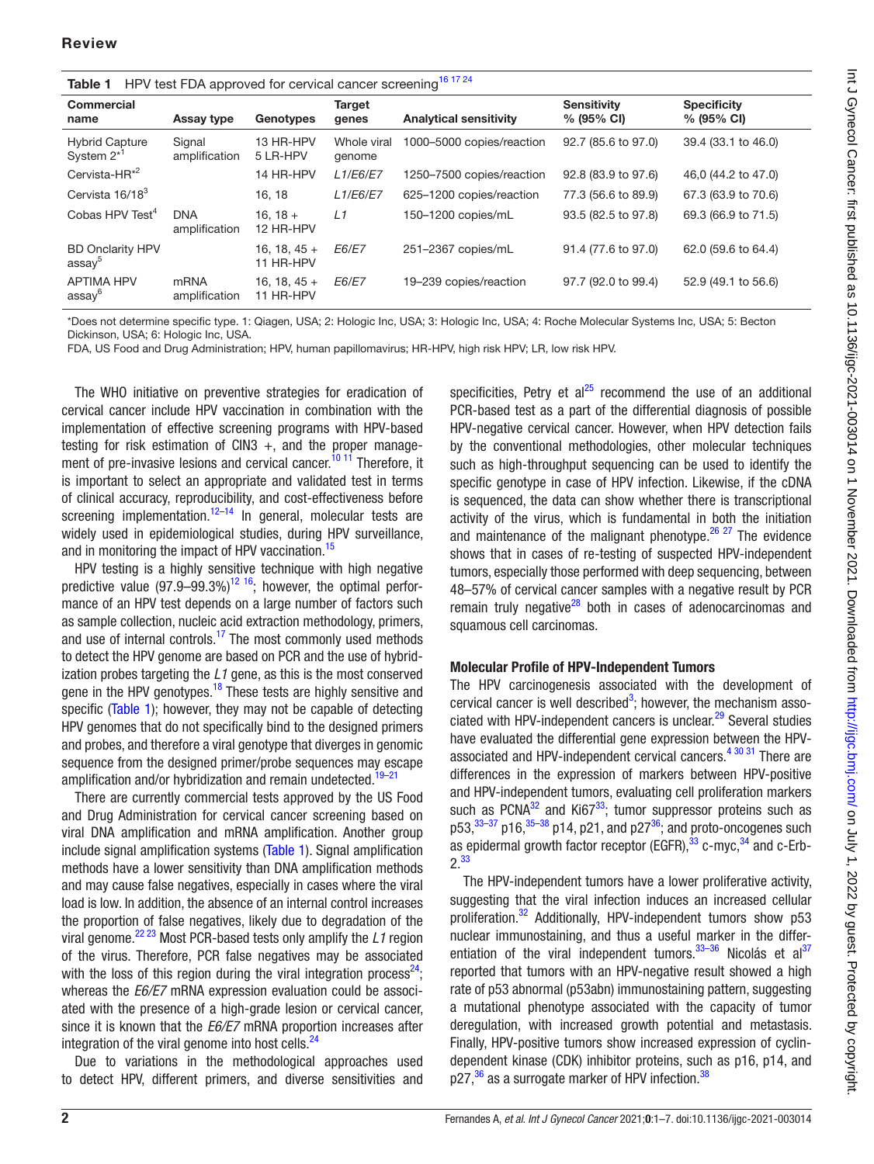<span id="page-1-0"></span>

| HPV test FDA approved for cervical cancer screening <sup>16 17 24</sup><br>Table 1 |                             |                             |                       |                               |                                     |                                  |  |  |
|------------------------------------------------------------------------------------|-----------------------------|-----------------------------|-----------------------|-------------------------------|-------------------------------------|----------------------------------|--|--|
| <b>Commercial</b><br>name                                                          | Assay type                  | Genotypes                   | Target<br>genes       | <b>Analytical sensitivity</b> | <b>Sensitivity</b><br>$% (95\% CI)$ | <b>Specificity</b><br>% (95% CI) |  |  |
| <b>Hybrid Capture</b><br>System 2 <sup>*'</sup>                                    | Signal<br>amplification     | 13 HR-HPV<br>5 LR-HPV       | Whole viral<br>genome | 1000-5000 copies/reaction     | 92.7 (85.6 to 97.0)                 | 39.4 (33.1 to 46.0)              |  |  |
| Cervista-HR <sup>*2</sup>                                                          |                             | 14 HR-HPV                   | <b>L1/E6/E7</b>       | 1250-7500 copies/reaction     | 92.8 (83.9 to 97.6)                 | 46,0 (44.2 to 47.0)              |  |  |
| Cervista 16/18 <sup>3</sup>                                                        |                             | 16.18                       | <b>L1/E6/E7</b>       | 625-1200 copies/reaction      | 77.3 (56.6 to 89.9)                 | 67.3 (63.9 to 70.6)              |  |  |
| Cobas HPV Test <sup>4</sup>                                                        | <b>DNA</b><br>amplification | $16.18 +$<br>12 HR-HPV      | L1                    | 150-1200 copies/mL            | 93.5 (82.5 to 97.8)                 | 69.3 (66.9 to 71.5)              |  |  |
| <b>BD Onclarity HPV</b><br>assay <sup>5</sup>                                      |                             | 16, 18, $45 +$<br>11 HR-HPV | E6/E7                 | 251-2367 copies/mL            | 91.4 (77.6 to 97.0)                 | 62.0 (59.6 to 64.4)              |  |  |
| <b>APTIMA HPV</b><br>assay <sup>6</sup>                                            | mRNA<br>amplification       | $16, 18, 45 +$<br>11 HR-HPV | <b>E6/E7</b>          | 19-239 copies/reaction        | 97.7 (92.0 to 99.4)                 | 52.9 (49.1 to 56.6)              |  |  |

\*Does not determine specific type. 1: Qiagen, USA; 2: Hologic Inc, USA; 3: Hologic Inc, USA; 4: Roche Molecular Systems Inc, USA; 5: Becton Dickinson, USA; 6: Hologic Inc, USA.

FDA, US Food and Drug Administration; HPV, human papillomavirus; HR-HPV, high risk HPV; LR, low risk HPV.

The WHO initiative on preventive strategies for eradication of cervical cancer include HPV vaccination in combination with the implementation of effective screening programs with HPV-based testing for risk estimation of CIN3  $+$ , and the proper management of pre-invasive lesions and cervical cancer.<sup>10 11</sup> Therefore, it is important to select an appropriate and validated test in terms of clinical accuracy, reproducibility, and cost-effectiveness before screening implementation.<sup>12–14</sup> In general, molecular tests are widely used in epidemiological studies, during HPV surveillance, and in monitoring the impact of HPV vaccination.<sup>[15](#page-5-9)</sup>

HPV testing is a highly sensitive technique with high negative predictive value  $(97.9-99.3\%)^{12}$  16; however, the optimal performance of an HPV test depends on a large number of factors such as sample collection, nucleic acid extraction methodology, primers, and use of internal controls.<sup>17</sup> The most commonly used methods to detect the HPV genome are based on PCR and the use of hybridization probes targeting the *L1* gene, as this is the most conserved gene in the HPV genotypes.<sup>18</sup> These tests are highly sensitive and specific ([Table 1](#page-1-0)); however, they may not be capable of detecting HPV genomes that do not specifically bind to the designed primers and probes, and therefore a viral genotype that diverges in genomic sequence from the designed primer/probe sequences may escape amplification and/or hybridization and remain undetected.<sup>[19–21](#page-5-12)</sup>

There are currently commercial tests approved by the US Food and Drug Administration for cervical cancer screening based on viral DNA amplification and mRNA amplification. Another group include signal amplification systems [\(Table 1](#page-1-0)). Signal amplification methods have a lower sensitivity than DNA amplification methods and may cause false negatives, especially in cases where the viral load is low. In addition, the absence of an internal control increases the proportion of false negatives, likely due to degradation of the viral genome[.22 23](#page-5-13) Most PCR-based tests only amplify the *L1* region of the virus. Therefore, PCR false negatives may be associated with the loss of this region during the viral integration process<sup>24</sup>; whereas the *E6/E7* mRNA expression evaluation could be associated with the presence of a high-grade lesion or cervical cancer, since it is known that the *E6/E7* mRNA proportion increases after integration of the viral genome into host cells. $^{24}$ 

Due to variations in the methodological approaches used to detect HPV, different primers, and diverse sensitivities and

specificities, Petry et  $al^{25}$  recommend the use of an additional PCR-based test as a part of the differential diagnosis of possible HPV-negative cervical cancer. However, when HPV detection fails by the conventional methodologies, other molecular techniques such as high-throughput sequencing can be used to identify the specific genotype in case of HPV infection. Likewise, if the cDNA is sequenced, the data can show whether there is transcriptional activity of the virus, which is fundamental in both the initiation and maintenance of the malignant phenotype. $26 27$  The evidence shows that in cases of re-testing of suspected HPV-independent tumors, especially those performed with deep sequencing, between 48–57% of cervical cancer samples with a negative result by PCR remain truly negative $^{28}$  both in cases of adenocarcinomas and squamous cell carcinomas.

#### Molecular Profile of HPV-Independent Tumors

The HPV carcinogenesis associated with the development of cervical cancer is well described<sup>[3](#page-5-2)</sup>; however, the mechanism associated with HPV-independent cancers is unclear. $^{29}$  Several studies have evaluated the differential gene expression between the HPV-associated and HPV-independent cervical cancers.<sup>[4 30 31](#page-5-3)</sup> There are differences in the expression of markers between HPV-positive and HPV-independent tumors, evaluating cell proliferation markers such as  $PCNA^{32}$  and  $Ki67^{33}$ ; tumor suppressor proteins such as  $p53, \frac{33-37}{2}p16, \frac{35-38}{2}p14, p21,$  and  $p27^{36}$  $p27^{36}$  $p27^{36}$ ; and proto-oncogenes such as epidermal growth factor receptor (EGFR),  $33$  c-myc,  $34$  and c-Erb-2.[33](#page-5-20)

The HPV-independent tumors have a lower proliferative activity, suggesting that the viral infection induces an increased cellular proliferation.<sup>32</sup> Additionally, HPV-independent tumors show p53 nuclear immunostaining, and thus a useful marker in the differentiation of the viral independent tumors. $33-36$  Nicolás et al $37$ reported that tumors with an HPV-negative result showed a high rate of p53 abnormal (p53abn) immunostaining pattern, suggesting a mutational phenotype associated with the capacity of tumor deregulation, with increased growth potential and metastasis. Finally, HPV-positive tumors show increased expression of cyclindependent kinase (CDK) inhibitor proteins, such as p16, p14, and p27,<sup>36</sup> as a surrogate marker of HPV infection.<sup>38</sup>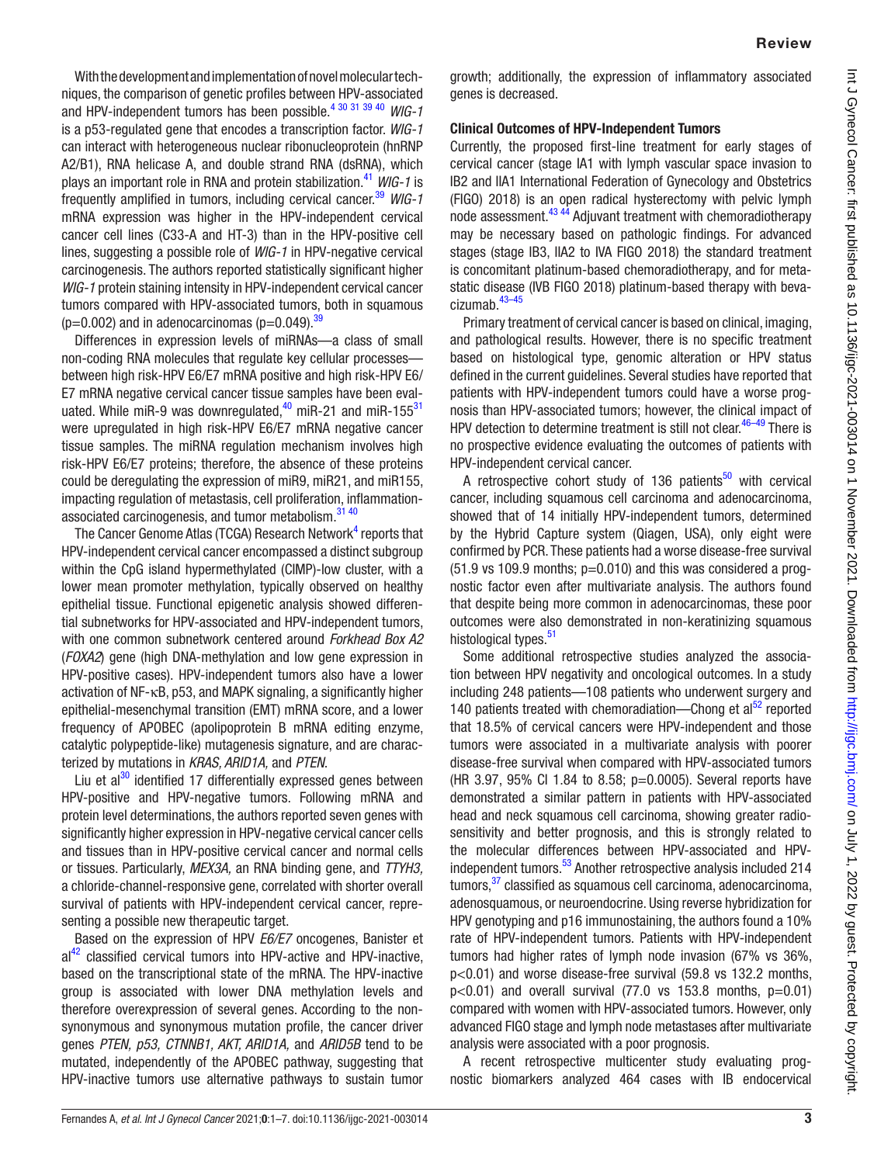With the development and implementation of novel molecular techniques, the comparison of genetic profiles between HPV-associated and HPV-independent tumors has been possible.[4 30 31 39 40](#page-5-3) *WIG-1* is a p53-regulated gene that encodes a transcription factor. *WIG-1* can interact with heterogeneous nuclear ribonucleoprotein (hnRNP A2/B1), RNA helicase A, and double strand RNA (dsRNA), which plays an important role in RNA and protein stabilization.[41](#page-5-27) *WIG-1* is frequently amplified in tumors, including cervical cancer.[39](#page-5-28) *WIG-1* mRNA expression was higher in the HPV-independent cervical cancer cell lines (C33-A and HT-3) than in the HPV-positive cell lines, suggesting a possible role of *WIG-1* in HPV-negative cervical carcinogenesis. The authors reported statistically significant higher *WIG-1* protein staining intensity in HPV-independent cervical cancer tumors compared with HPV-associated tumors, both in squamous (p=0.002) and in adenocarcinomas (p=0.049). $^{39}$  $^{39}$  $^{39}$ 

Differences in expression levels of miRNAs—a class of small non-coding RNA molecules that regulate key cellular processes between high risk-HPV E6/E7 mRNA positive and high risk-HPV E6/ E7 mRNA negative cervical cancer tissue samples have been evaluated. While miR-9 was downregulated, $40$  miR-21 and miR-155 $31$ were upregulated in high risk-HPV E6/E7 mRNA negative cancer tissue samples. The miRNA regulation mechanism involves high risk-HPV E6/E7 proteins; therefore, the absence of these proteins could be deregulating the expression of miR9, miR21, and miR155, impacting regulation of metastasis, cell proliferation, inflammation-associated carcinogenesis, and tumor metabolism.<sup>[31 40](#page-5-30)</sup>

The Cancer Genome Atlas (TCGA) Research Network<sup>[4](#page-5-3)</sup> reports that HPV-independent cervical cancer encompassed a distinct subgroup within the CpG island hypermethylated (CIMP)-low cluster, with a lower mean promoter methylation, typically observed on healthy epithelial tissue. Functional epigenetic analysis showed differential subnetworks for HPV-associated and HPV-independent tumors, with one common subnetwork centered around *Forkhead Box A2* (*FOXA2*) gene (high DNA-methylation and low gene expression in HPV-positive cases). HPV-independent tumors also have a lower activation of NF-κB, p53, and MAPK signaling, a significantly higher epithelial-mesenchymal transition (EMT) mRNA score, and a lower frequency of APOBEC (apolipoprotein B mRNA editing enzyme, catalytic polypeptide-like) mutagenesis signature, and are characterized by mutations in *KRAS, ARID1A,* and *PTEN*.

Liu et al $30$  identified 17 differentially expressed genes between HPV-positive and HPV-negative tumors. Following mRNA and protein level determinations, the authors reported seven genes with significantly higher expression in HPV-negative cervical cancer cells and tissues than in HPV-positive cervical cancer and normal cells or tissues. Particularly, *MEX3A,* an RNA binding gene, and *TTYH3,* a chloride-channel-responsive gene, correlated with shorter overall survival of patients with HPV-independent cervical cancer, representing a possible new therapeutic target.

Based on the expression of HPV *E6/E7* oncogenes, Banister et  $al<sup>42</sup>$  classified cervical tumors into HPV-active and HPV-inactive, based on the transcriptional state of the mRNA. The HPV-inactive group is associated with lower DNA methylation levels and therefore overexpression of several genes. According to the nonsynonymous and synonymous mutation profile, the cancer driver genes *PTEN, p53, CTNNB1, AKT, ARID1A,* and *ARID5B* tend to be mutated, independently of the APOBEC pathway, suggesting that HPV-inactive tumors use alternative pathways to sustain tumor

growth; additionally, the expression of inflammatory associated genes is decreased.

#### Clinical Outcomes of HPV-Independent Tumors

Currently, the proposed first-line treatment for early stages of cervical cancer (stage IA1 with lymph vascular space invasion to IB2 and IIA1 International Federation of Gynecology and Obstetrics (FIGO) 2018) is an open radical hysterectomy with pelvic lymph node assessment.[43 44](#page-5-33) Adjuvant treatment with chemoradiotherapy may be necessary based on pathologic findings. For advanced stages (stage IB3, IIA2 to IVA FIGO 2018) the standard treatment is concomitant platinum-based chemoradiotherapy, and for metastatic disease (IVB FIGO 2018) platinum-based therapy with bevacizumab[.43–45](#page-5-33)

Primary treatment of cervical cancer is based on clinical, imaging, and pathological results. However, there is no specific treatment based on histological type, genomic alteration or HPV status defined in the current guidelines. Several studies have reported that patients with HPV-independent tumors could have a worse prognosis than HPV-associated tumors; however, the clinical impact of HPV detection to determine treatment is still not clear.<sup>46-49</sup> There is no prospective evidence evaluating the outcomes of patients with HPV-independent cervical cancer.

A retrospective cohort study of 136 patients<sup>[50](#page-6-1)</sup> with cervical cancer, including squamous cell carcinoma and adenocarcinoma, showed that of 14 initially HPV-independent tumors, determined by the Hybrid Capture system (Qiagen, USA), only eight were confirmed by PCR. These patients had a worse disease-free survival  $(51.9 \text{ vs } 109.9 \text{ months}; p=0.010)$  and this was considered a prognostic factor even after multivariate analysis. The authors found that despite being more common in adenocarcinomas, these poor outcomes were also demonstrated in non-keratinizing squamous histological types.<sup>[51](#page-6-2)</sup>

Some additional retrospective studies analyzed the association between HPV negativity and oncological outcomes. In a study including 248 patients—108 patients who underwent surgery and 140 patients treated with chemoradiation—Chong et al $52$  reported that 18.5% of cervical cancers were HPV-independent and those tumors were associated in a multivariate analysis with poorer disease-free survival when compared with HPV-associated tumors (HR 3.97, 95% CI 1.84 to 8.58; p=0.0005). Several reports have demonstrated a similar pattern in patients with HPV-associated head and neck squamous cell carcinoma, showing greater radiosensitivity and better prognosis, and this is strongly related to the molecular differences between HPV-associated and HPVindependent tumors.<sup>53</sup> Another retrospective analysis included 214 tumors[,37](#page-5-24) classified as squamous cell carcinoma, adenocarcinoma, adenosquamous, or neuroendocrine. Using reverse hybridization for HPV genotyping and p16 immunostaining, the authors found a 10% rate of HPV-independent tumors. Patients with HPV-independent tumors had higher rates of lymph node invasion (67% vs 36%, p<0.01) and worse disease-free survival (59.8 vs 132.2 months,  $p<0.01$ ) and overall survival (77.0 vs 153.8 months,  $p=0.01$ ) compared with women with HPV-associated tumors. However, only advanced FIGO stage and lymph node metastases after multivariate analysis were associated with a poor prognosis.

A recent retrospective multicenter study evaluating prognostic biomarkers analyzed 464 cases with IB endocervical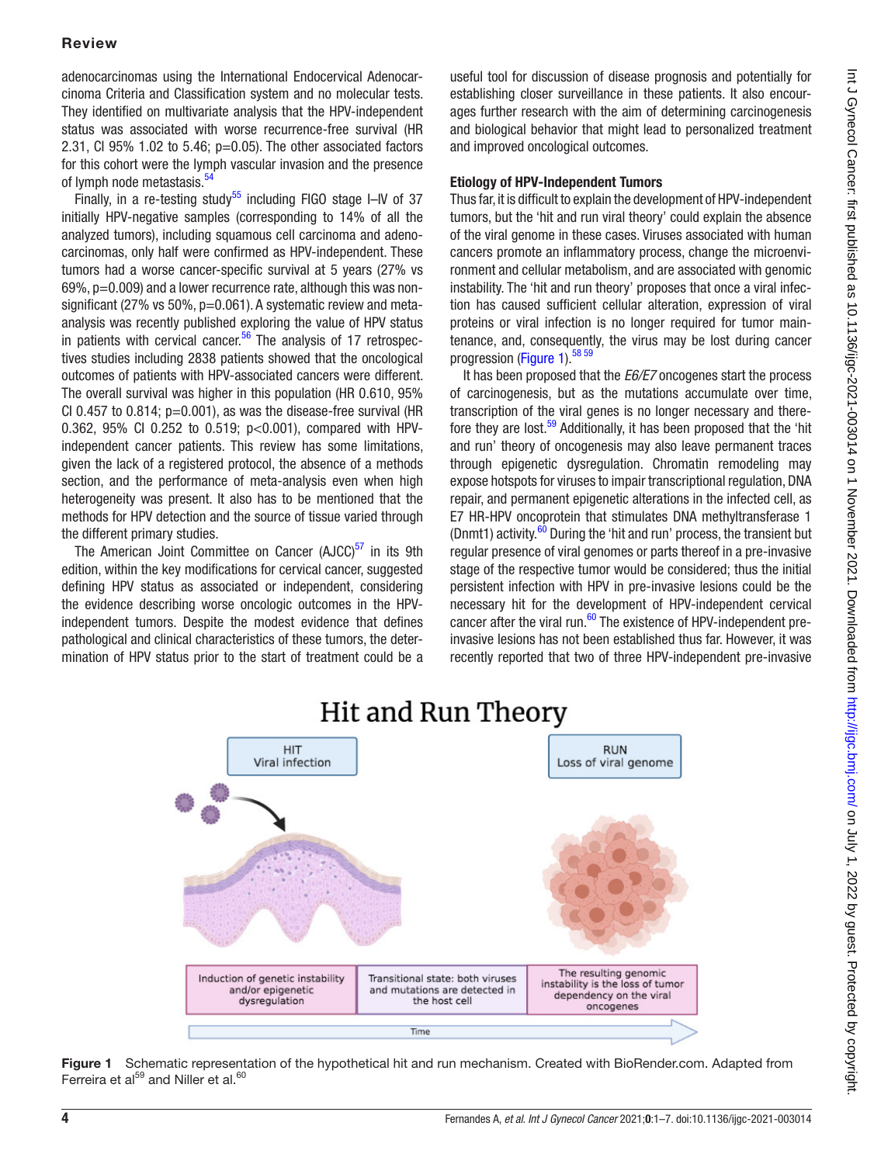## Review

adenocarcinomas using the International Endocervical Adenocarcinoma Criteria and Classification system and no molecular tests. They identified on multivariate analysis that the HPV-independent status was associated with worse recurrence-free survival (HR 2.31, CI 95% 1.02 to 5.46;  $p=0.05$ ). The other associated factors for this cohort were the lymph vascular invasion and the presence of lymph node metastasis.<sup>54</sup>

Finally, in a re-testing study<sup>[55](#page-6-6)</sup> including FIGO stage I-IV of 37 initially HPV-negative samples (corresponding to 14% of all the analyzed tumors), including squamous cell carcinoma and adenocarcinomas, only half were confirmed as HPV-independent. These tumors had a worse cancer-specific survival at 5 years (27% vs  $69\%$ ,  $p=0.009$ ) and a lower recurrence rate, although this was nonsignificant (27% vs 50%, p=0.061). A systematic review and metaanalysis was recently published exploring the value of HPV status in patients with cervical cancer.<sup>[56](#page-6-7)</sup> The analysis of 17 retrospectives studies including 2838 patients showed that the oncological outcomes of patients with HPV-associated cancers were different. The overall survival was higher in this population (HR 0.610, 95% CI 0.457 to 0.814;  $p=0.001$ ), as was the disease-free survival (HR 0.362, 95% CI 0.252 to 0.519; p<0.001), compared with HPVindependent cancer patients. This review has some limitations, given the lack of a registered protocol, the absence of a methods section, and the performance of meta-analysis even when high heterogeneity was present. It also has to be mentioned that the methods for HPV detection and the source of tissue varied through the different primary studies.

The American Joint Committee on Cancer ( $AJCC$ )<sup>[57](#page-6-8)</sup> in its 9th edition, within the key modifications for cervical cancer, suggested defining HPV status as associated or independent, considering the evidence describing worse oncologic outcomes in the HPVindependent tumors. Despite the modest evidence that defines pathological and clinical characteristics of these tumors, the determination of HPV status prior to the start of treatment could be a

useful tool for discussion of disease prognosis and potentially for establishing closer surveillance in these patients. It also encourages further research with the aim of determining carcinogenesis and biological behavior that might lead to personalized treatment and improved oncological outcomes.

### Etiology of HPV-Independent Tumors

Thus far, it is difficult to explain the development of HPV-independent tumors, but the 'hit and run viral theory' could explain the absence of the viral genome in these cases. Viruses associated with human cancers promote an inflammatory process, change the microenvironment and cellular metabolism, and are associated with genomic instability. The 'hit and run theory' proposes that once a viral infection has caused sufficient cellular alteration, expression of viral proteins or viral infection is no longer required for tumor maintenance, and, consequently, the virus may be lost during cancer progression [\(Figure 1](#page-3-0)).<sup>[58 59](#page-6-9)</sup>

It has been proposed that the *E6/E7* oncogenes start the process of carcinogenesis, but as the mutations accumulate over time, transcription of the viral genes is no longer necessary and there-fore they are lost.<sup>[59](#page-6-10)</sup> Additionally, it has been proposed that the 'hit and run' theory of oncogenesis may also leave permanent traces through epigenetic dysregulation. Chromatin remodeling may expose hotspots for viruses to impair transcriptional regulation, DNA repair, and permanent epigenetic alterations in the infected cell, as E7 HR-HPV oncoprotein that stimulates DNA methyltransferase 1 (Dnmt1) activity. $60$  During the 'hit and run' process, the transient but regular presence of viral genomes or parts thereof in a pre-invasive stage of the respective tumor would be considered; thus the initial persistent infection with HPV in pre-invasive lesions could be the necessary hit for the development of HPV-independent cervical cancer after the viral run. $60$  The existence of HPV-independent preinvasive lesions has not been established thus far. However, it was recently reported that two of three HPV-independent pre-invasive



## Hit and Run Theory

<span id="page-3-0"></span>Figure 1 Schematic representation of the hypothetical hit and run mechanism. Created with BioRender.com. Adapted from Ferreira et al $^{59}$  and Niller et al. $^{60}$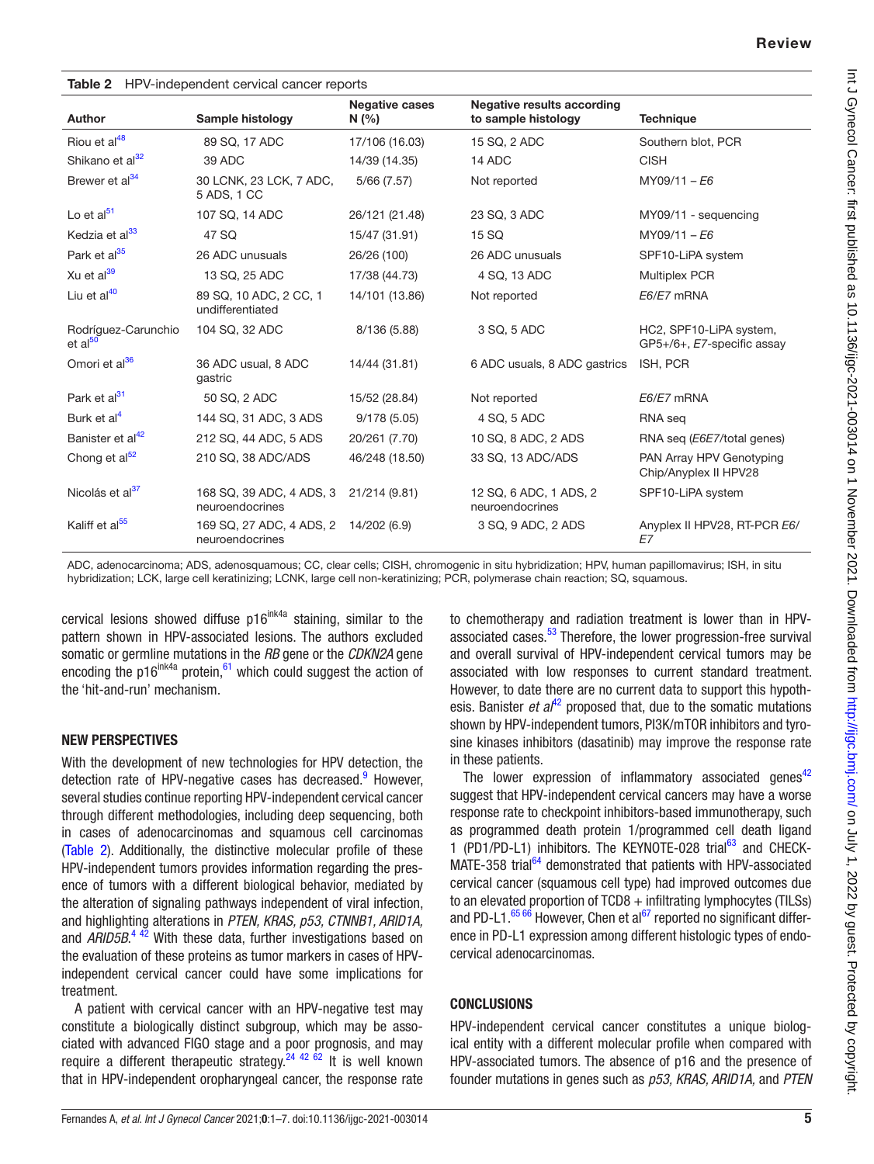<span id="page-4-0"></span>

| <b>Table 2</b> HPV-independent cervical cancer reports |                                             |                               |                                                          |                                                       |  |  |  |
|--------------------------------------------------------|---------------------------------------------|-------------------------------|----------------------------------------------------------|-------------------------------------------------------|--|--|--|
| <b>Author</b>                                          | Sample histology                            | <b>Negative cases</b><br>N(%) | <b>Negative results according</b><br>to sample histology | <b>Technique</b>                                      |  |  |  |
| Riou et al <sup>48</sup>                               | 89 SQ, 17 ADC                               | 17/106 (16.03)                | 15 SQ, 2 ADC                                             | Southern blot, PCR                                    |  |  |  |
| Shikano et al <sup>32</sup>                            | 39 ADC                                      | 14/39 (14.35)                 | 14 ADC                                                   | <b>CISH</b>                                           |  |  |  |
| Brewer et al <sup>34</sup>                             | 30 LCNK, 23 LCK, 7 ADC,<br>5 ADS, 1 CC      | 5/66(7.57)                    | Not reported                                             | $MY09/11 - E6$                                        |  |  |  |
| Lo et $al51$                                           | 107 SQ, 14 ADC                              | 26/121 (21.48)                | 23 SQ, 3 ADC                                             | MY09/11 - sequencing                                  |  |  |  |
| Kedzia et al <sup>33</sup>                             | 47 SQ                                       | 15/47 (31.91)                 | 15 SQ                                                    | $MY09/11 - E6$                                        |  |  |  |
| Park et al <sup>35</sup>                               | 26 ADC unusuals                             | 26/26 (100)                   | 26 ADC unusuals                                          | SPF10-LiPA system                                     |  |  |  |
| Xu et al <sup>39</sup>                                 | 13 SQ, 25 ADC                               | 17/38 (44.73)                 | 4 SQ, 13 ADC                                             | <b>Multiplex PCR</b>                                  |  |  |  |
| Liu et al <sup>40</sup>                                | 89 SQ, 10 ADC, 2 CC, 1<br>undifferentiated  | 14/101 (13.86)                | Not reported                                             | E6/E7 mRNA                                            |  |  |  |
| Rodríguez-Carunchio<br>et al <sup>50</sup>             | 104 SQ, 32 ADC                              | 8/136 (5.88)                  | 3 SQ, 5 ADC                                              | HC2, SPF10-LiPA system,<br>GP5+/6+, E7-specific assay |  |  |  |
| Omori et al <sup>36</sup>                              | 36 ADC usual, 8 ADC<br>gastric              | 14/44 (31.81)                 | 6 ADC usuals, 8 ADC gastrics                             | ISH, PCR                                              |  |  |  |
| Park et al <sup>31</sup>                               | 50 SQ, 2 ADC                                | 15/52 (28.84)                 | Not reported                                             | E6/E7 mRNA                                            |  |  |  |
| Burk et al <sup>4</sup>                                | 144 SQ, 31 ADC, 3 ADS                       | 9/178(5.05)                   | 4 SQ, 5 ADC                                              | RNA seg                                               |  |  |  |
| Banister et al <sup>42</sup>                           | 212 SQ, 44 ADC, 5 ADS                       | 20/261 (7.70)                 | 10 SQ, 8 ADC, 2 ADS                                      | RNA seg ( <i>E6E7</i> /total genes)                   |  |  |  |
| Chong et $al52$                                        | 210 SQ, 38 ADC/ADS                          | 46/248 (18.50)                | 33 SQ, 13 ADC/ADS                                        | PAN Array HPV Genotyping<br>Chip/Anyplex II HPV28     |  |  |  |
| Nicolás et al <sup>37</sup>                            | 168 SQ, 39 ADC, 4 ADS, 3<br>neuroendocrines | 21/214 (9.81)                 | 12 SQ, 6 ADC, 1 ADS, 2<br>neuroendocrines                | SPF10-LiPA system                                     |  |  |  |
| Kaliff et al <sup>55</sup>                             | 169 SQ, 27 ADC, 4 ADS, 2<br>neuroendocrines | 14/202 (6.9)                  | 3 SQ, 9 ADC, 2 ADS                                       | Anyplex II HPV28, RT-PCR E6/<br>E7                    |  |  |  |

ADC, adenocarcinoma; ADS, adenosquamous; CC, clear cells; CISH, chromogenic in situ hybridization; HPV, human papillomavirus; ISH, in situ hybridization; LCK, large cell keratinizing; LCNK, large cell non-keratinizing; PCR, polymerase chain reaction; SQ, squamous.

cervical lesions showed diffuse  $p16^{ink4a}$  staining, similar to the pattern shown in HPV-associated lesions. The authors excluded somatic or germline mutations in the *RB* gene or the *CDKN2A* gene encoding the p16<sup>ink4a</sup> protein, $61$  which could suggest the action of the 'hit-and-run' mechanism.

#### NEW PERSPECTIVES

With the development of new technologies for HPV detection, the detection rate of HPV-negative cases has decreased.<sup>9</sup> However, several studies continue reporting HPV-independent cervical cancer through different methodologies, including deep sequencing, both in cases of adenocarcinomas and squamous cell carcinomas [\(Table 2](#page-4-0)). Additionally, the distinctive molecular profile of these HPV-independent tumors provides information regarding the presence of tumors with a different biological behavior, mediated by the alteration of signaling pathways independent of viral infection, and highlighting alterations in *PTEN, KRAS, p53, CTNNB1, ARID1A,* and *ARID5B*.<sup>[4 42](#page-5-3)</sup> With these data, further investigations based on the evaluation of these proteins as tumor markers in cases of HPVindependent cervical cancer could have some implications for treatment.

A patient with cervical cancer with an HPV-negative test may constitute a biologically distinct subgroup, which may be associated with advanced FIGO stage and a poor prognosis, and may require a different therapeutic strategy.<sup>24 42 62</sup> It is well known that in HPV-independent oropharyngeal cancer, the response rate

to chemotherapy and radiation treatment is lower than in HPV-associated cases.<sup>[53](#page-6-4)</sup> Therefore, the lower progression-free survival and overall survival of HPV-independent cervical tumors may be associated with low responses to current standard treatment. However, to date there are no current data to support this hypothesis. Banister *et al*<sup>42</sup> proposed that, due to the somatic mutations shown by HPV-independent tumors, PI3K/mTOR inhibitors and tyrosine kinases inhibitors (dasatinib) may improve the response rate in these patients.

The lower expression of inflammatory associated genes $42$ suggest that HPV-independent cervical cancers may have a worse response rate to checkpoint inhibitors-based immunotherapy, such as programmed death protein 1/programmed cell death ligand 1 (PD1/PD-L1) inhibitors. The KEYNOTE-028 trial<sup>63</sup> and CHECK-MATE-358 trial<sup>[64](#page-6-14)</sup> demonstrated that patients with HPV-associated cervical cancer (squamous cell type) had improved outcomes due to an elevated proportion of  $TCD8 +$  infiltrating lymphocytes (TILSs) and PD-L1. $\frac{6566}{6}$  However, Chen et al<sup>67</sup> reported no significant difference in PD-L1 expression among different histologic types of endocervical adenocarcinomas.

## **CONCLUSIONS**

HPV-independent cervical cancer constitutes a unique biological entity with a different molecular profile when compared with HPV-associated tumors. The absence of p16 and the presence of founder mutations in genes such as *p53, KRAS, ARID1A,* and *PTEN*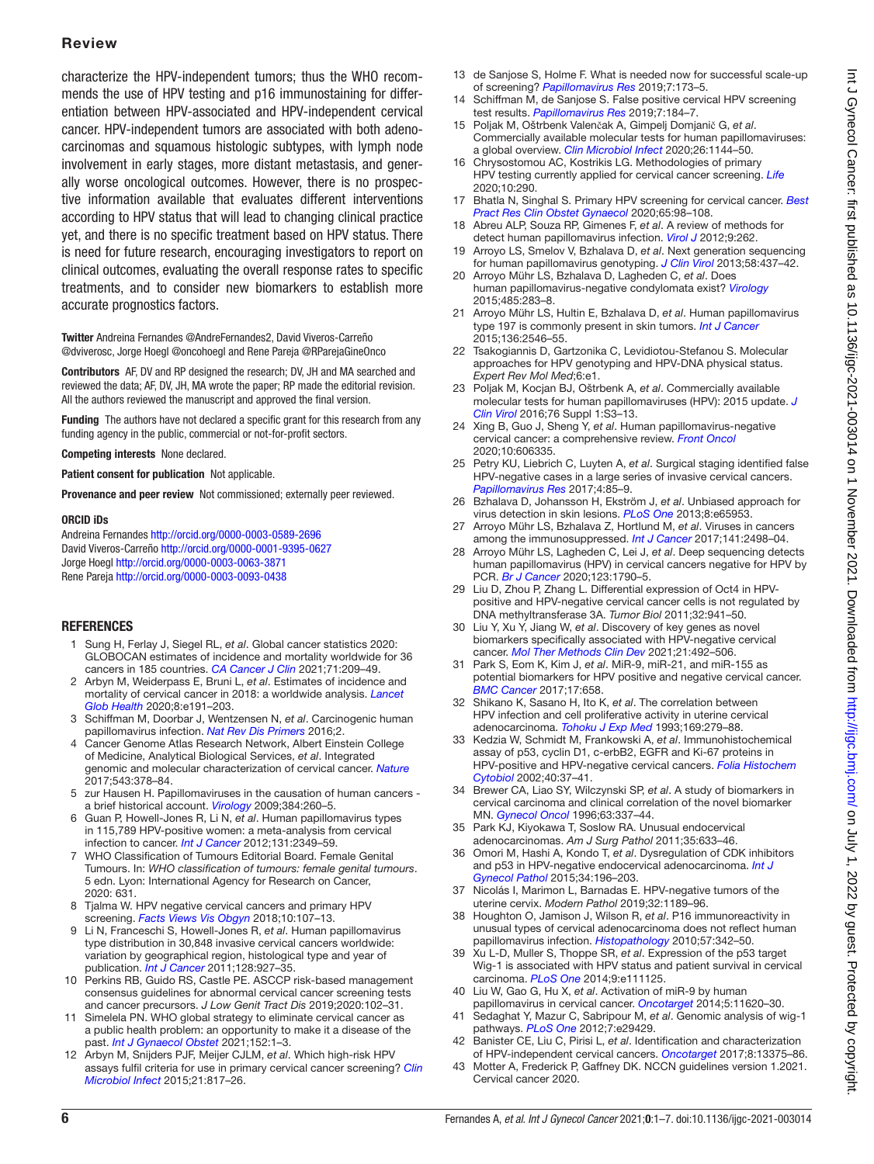## Review

characterize the HPV-independent tumors; thus the WHO recommends the use of HPV testing and p16 immunostaining for differentiation between HPV-associated and HPV-independent cervical cancer. HPV-independent tumors are associated with both adenocarcinomas and squamous histologic subtypes, with lymph node involvement in early stages, more distant metastasis, and generally worse oncological outcomes. However, there is no prospective information available that evaluates different interventions according to HPV status that will lead to changing clinical practice yet, and there is no specific treatment based on HPV status. There is need for future research, encouraging investigators to report on clinical outcomes, evaluating the overall response rates to specific treatments, and to consider new biomarkers to establish more accurate prognostics factors.

Twitter Andreina Fernandes [@AndreFernandes2,](https://twitter.com/AndreFernandes2) David Viveros-Carreño [@dviverosc](https://twitter.com/dviverosc), Jorge Hoegl [@oncohoegl](https://twitter.com/oncohoegl) and Rene Pareja [@RParejaGineOnco](https://twitter.com/RParejaGineOnco)

Contributors AF, DV and RP designed the research; DV, JH and MA searched and reviewed the data; AF, DV, JH, MA wrote the paper; RP made the editorial revision. All the authors reviewed the manuscript and approved the final version.

Funding The authors have not declared a specific grant for this research from any funding agency in the public, commercial or not-for-profit sectors.

Competing interests None declared.

Patient consent for publication Not applicable.

Provenance and peer review Not commissioned; externally peer reviewed.

#### ORCID iDs

Andreina Fernandes <http://orcid.org/0000-0003-0589-2696> David Viveros-Carreño <http://orcid.org/0000-0001-9395-0627> Jorge Hoegl<http://orcid.org/0000-0003-0063-3871> Rene Pareja<http://orcid.org/0000-0003-0093-0438>

#### **REFERENCES**

- <span id="page-5-0"></span>1 Sung H, Ferlay J, Siegel RL, *et al*. Global cancer statistics 2020: GLOBOCAN estimates of incidence and mortality worldwide for 36 cancers in 185 countries. *[CA Cancer J Clin](http://dx.doi.org/10.3322/caac.21660)* 2021;71:209–49.
- <span id="page-5-1"></span>2 Arbyn M, Weiderpass E, Bruni L, *et al*. Estimates of incidence and mortality of cervical cancer in 2018: a worldwide analysis. *[Lancet](http://dx.doi.org/10.1016/S2214-109X(19)30482-6)  [Glob Health](http://dx.doi.org/10.1016/S2214-109X(19)30482-6)* 2020;8:e191–203.
- <span id="page-5-2"></span>3 Schiffman M, Doorbar J, Wentzensen N, *et al*. Carcinogenic human papillomavirus infection. *[Nat Rev Dis Primers](http://dx.doi.org/10.1038/nrdp.2016.86)* 2016;2.
- <span id="page-5-3"></span>4 Cancer Genome Atlas Research Network, Albert Einstein College of Medicine, Analytical Biological Services, *et al*. Integrated genomic and molecular characterization of cervical cancer. *[Nature](http://dx.doi.org/10.1038/nature21386)* 2017;543:378–84.
- <span id="page-5-4"></span>5 zur Hausen H. Papillomaviruses in the causation of human cancers a brief historical account. *[Virology](http://dx.doi.org/10.1016/j.virol.2008.11.046)* 2009;384:260–5.
- <span id="page-5-5"></span>6 Guan P, Howell-Jones R, Li N, *et al*. Human papillomavirus types in 115,789 HPV-positive women: a meta-analysis from cervical infection to cancer. *[Int J Cancer](http://dx.doi.org/10.1002/ijc.27485)* 2012;131:2349–59.
- <span id="page-5-6"></span>7 WHO Classification of Tumours Editorial Board. Female Genital Tumours. In: *WHO classification of tumours: female genital tumours*. 5 edn. Lyon: International Agency for Research on Cancer, 2020: 631.
- Tjalma W. HPV negative cervical cancers and primary HPV screening. *[Facts Views Vis Obgyn](http://www.ncbi.nlm.nih.gov/pubmed/31110650)* 2018;10:107–13.
- <span id="page-5-34"></span>9 Li N, Franceschi S, Howell-Jones R, *et al*. Human papillomavirus type distribution in 30,848 invasive cervical cancers worldwide: variation by geographical region, histological type and year of publication. *[Int J Cancer](http://dx.doi.org/10.1002/ijc.25396)* 2011;128:927–35.
- <span id="page-5-7"></span>10 Perkins RB, Guido RS, Castle PE. ASCCP risk-based management consensus guidelines for abnormal cervical cancer screening tests and cancer precursors. *J Low Genit Tract Dis* 2019;2020:102–31.
- 11 Simelela PN. WHO global strategy to eliminate cervical cancer as a public health problem: an opportunity to make it a disease of the past. *[Int J Gynaecol Obstet](http://dx.doi.org/10.1002/ijgo.13484)* 2021;152:1–3.
- <span id="page-5-8"></span>12 Arbyn M, Snijders PJF, Meijer CJLM, *et al*. Which high-risk HPV assays fulfil criteria for use in primary cervical cancer screening? *[Clin](http://dx.doi.org/10.1016/j.cmi.2015.04.015) [Microbiol Infect](http://dx.doi.org/10.1016/j.cmi.2015.04.015)* 2015;21:817–26.
- 13 de Sanjose S, Holme F. What is needed now for successful scale-up of screening? *[Papillomavirus Res](http://dx.doi.org/10.1016/j.pvr.2019.04.011)* 2019;7:173–5.
- Schiffman M, de Sanjose S. False positive cervical HPV screening test results. *[Papillomavirus Res](http://dx.doi.org/10.1016/j.pvr.2019.04.012)* 2019;7:184–7.
- <span id="page-5-9"></span>15 Poljak M, Oštrbenk Valenčak A, Gimpelj Domjanič G, *et al*. Commercially available molecular tests for human papillomaviruses: a global overview. *[Clin Microbiol Infect](http://dx.doi.org/10.1016/j.cmi.2020.03.033)* 2020;26:1144–50.
- <span id="page-5-26"></span>16 Chrysostomou AC, Kostrikis LG. Methodologies of primary HPV testing currently applied for cervical cancer screening. *[Life](http://dx.doi.org/10.3390/life10110290)* 2020;10:290.
- <span id="page-5-10"></span>17 Bhatla N, Singhal S. Primary HPV screening for cervical cancer. *[Best](http://dx.doi.org/10.1016/j.bpobgyn.2020.02.008)  [Pract Res Clin Obstet Gynaecol](http://dx.doi.org/10.1016/j.bpobgyn.2020.02.008)* 2020;65:98–108.
- <span id="page-5-11"></span>18 Abreu ALP, Souza RP, Gimenes F, *et al*. A review of methods for detect human papillomavirus infection. *[Virol J](http://dx.doi.org/10.1186/1743-422X-9-262)* 2012;9:262.
- <span id="page-5-12"></span>19 Arroyo LS, Smelov V, Bzhalava D, *et al*. Next generation sequencing for human papillomavirus genotyping. *[J Clin Virol](http://dx.doi.org/10.1016/j.jcv.2013.07.013)* 2013;58:437–42.
- 20 Arroyo Mühr LS, Bzhalava D, Lagheden C, *et al*. Does human papillomavirus-negative condylomata exist? *[Virology](http://dx.doi.org/10.1016/j.virol.2015.07.023)* 2015;485:283–8.
- 21 Arroyo Mühr LS, Hultin E, Bzhalava D, *et al*. Human papillomavirus type 197 is commonly present in skin tumors. *[Int J Cancer](http://dx.doi.org/10.1002/ijc.29325)* 2015;136:2546–55.
- <span id="page-5-13"></span>22 Tsakogiannis D, Gartzonika C, Levidiotou-Stefanou S. Molecular approaches for HPV genotyping and HPV-DNA physical status. *Expert Rev Mol Med*;6:e1.
- 23 Poljak M, Kocjan BJ, Oštrbenk A, *et al*. Commercially available molecular tests for human papillomaviruses (HPV): 2015 update. *[J](http://dx.doi.org/10.1016/j.jcv.2015.10.023)  [Clin Virol](http://dx.doi.org/10.1016/j.jcv.2015.10.023)* 2016;76 Suppl 1:S3–13.
- <span id="page-5-14"></span>24 Xing B, Guo J, Sheng Y, *et al*. Human papillomavirus-negative cervical cancer: a comprehensive review. *[Front Oncol](http://dx.doi.org/10.3389/fonc.2020.606335)* 2020;10:606335.
- <span id="page-5-15"></span>25 Petry KU, Liebrich C, Luyten A, *et al*. Surgical staging identified false HPV-negative cases in a large series of invasive cervical cancers. *[Papillomavirus Res](http://dx.doi.org/10.1016/j.pvr.2017.10.003)* 2017;4:85–9.
- <span id="page-5-16"></span>26 Bzhalava D, Johansson H, Ekström J, *et al*. Unbiased approach for virus detection in skin lesions. *[PLoS One](http://dx.doi.org/10.1371/journal.pone.0065953)* 2013;8:e65953.
- 27 Arroyo Mühr LS, Bzhalava Z, Hortlund M, *et al*. Viruses in cancers among the immunosuppressed. *[Int J Cancer](http://dx.doi.org/10.1002/ijc.31017)* 2017;141:2498–04.
- <span id="page-5-17"></span>28 Arroyo Mühr LS, Lagheden C, Lei J, *et al*. Deep sequencing detects human papillomavirus (HPV) in cervical cancers negative for HPV by PCR. *[Br J Cancer](http://dx.doi.org/10.1038/s41416-020-01111-0)* 2020;123:1790–5.
- <span id="page-5-18"></span>29 Liu D, Zhou P, Zhang L. Differential expression of Oct4 in HPVpositive and HPV-negative cervical cancer cells is not regulated by DNA methyltransferase 3A. *Tumor Biol* 2011;32:941–50.
- <span id="page-5-31"></span>30 Liu Y, Xu Y, Jiang W, *et al*. Discovery of key genes as novel biomarkers specifically associated with HPV-negative cervical cancer. *[Mol Ther Methods Clin Dev](http://dx.doi.org/10.1016/j.omtm.2021.03.026)* 2021;21:492–506.
- <span id="page-5-30"></span>31 Park S, Eom K, Kim J, *et al*. MiR-9, miR-21, and miR-155 as potential biomarkers for HPV positive and negative cervical cancer. *[BMC Cancer](http://dx.doi.org/10.1186/s12885-017-3642-5)* 2017;17:658.
- <span id="page-5-19"></span>32 Shikano K, Sasano H, Ito K, *et al*. The correlation between HPV infection and cell proliferative activity in uterine cervical adenocarcinoma. *[Tohoku J Exp Med](http://dx.doi.org/10.1620/tjem.169.279)* 1993;169:279–88.
- <span id="page-5-20"></span>33 Kedzia W, Schmidt M, Frankowski A, *et al*. Immunohistochemical assay of p53, cyclin D1, c-erbB2, EGFR and Ki-67 proteins in HPV-positive and HPV-negative cervical cancers. *[Folia Histochem](http://www.ncbi.nlm.nih.gov/pubmed/11885807)  [Cytobiol](http://www.ncbi.nlm.nih.gov/pubmed/11885807)* 2002;40:37–41.
- <span id="page-5-23"></span>34 Brewer CA, Liao SY, Wilczynski SP, *et al*. A study of biomarkers in cervical carcinoma and clinical correlation of the novel biomarker MN. *[Gynecol Oncol](http://dx.doi.org/10.1006/gyno.1996.0333)* 1996;63:337–44.
- <span id="page-5-21"></span>35 Park KJ, Kiyokawa T, Soslow RA. Unusual endocervical adenocarcinomas. *Am J Surg Pathol* 2011;35:633–46.
- <span id="page-5-22"></span>36 Omori M, Hashi A, Kondo T, *et al*. Dysregulation of CDK inhibitors and p53 in HPV-negative endocervical adenocarcinoma. *[Int J](http://dx.doi.org/10.1097/PGP.0000000000000121)  [Gynecol Pathol](http://dx.doi.org/10.1097/PGP.0000000000000121)* 2015;34:196–203.
- <span id="page-5-24"></span>37 Nicolás I, Marimon L, Barnadas E. HPV-negative tumors of the uterine cervix. *Modern Pathol* 2019;32:1189–96.
- <span id="page-5-25"></span>38 Houghton O, Jamison J, Wilson R, *et al*. P16 immunoreactivity in unusual types of cervical adenocarcinoma does not reflect human papillomavirus infection. *[Histopathology](http://dx.doi.org/10.1111/j.1365-2559.2010.03632.x)* 2010;57:342–50.
- <span id="page-5-28"></span>39 Xu L-D, Muller S, Thoppe SR, *et al*. Expression of the p53 target Wig-1 is associated with HPV status and patient survival in cervical carcinoma. *[PLoS One](http://dx.doi.org/10.1371/journal.pone.0111125)* 2014;9:e111125.
- <span id="page-5-29"></span>40 Liu W, Gao G, Hu X, *et al*. Activation of miR-9 by human papillomavirus in cervical cancer. *[Oncotarget](http://dx.doi.org/10.18632/oncotarget.2599)* 2014;5:11620–30.
- <span id="page-5-27"></span>41 Sedaghat Y, Mazur C, Sabripour M, *et al*. Genomic analysis of wig-1 pathways. *[PLoS One](http://dx.doi.org/10.1371/journal.pone.0029429)* 2012;7:e29429.
- <span id="page-5-32"></span>42 Banister CE, Liu C, Pirisi L, *et al*. Identification and characterization of HPV-independent cervical cancers. *[Oncotarget](http://dx.doi.org/10.18632/oncotarget.14533)* 2017;8:13375–86.
- <span id="page-5-33"></span>43 Motter A, Frederick P, Gaffney DK. NCCN guidelines version 1.2021. Cervical cancer 2020.